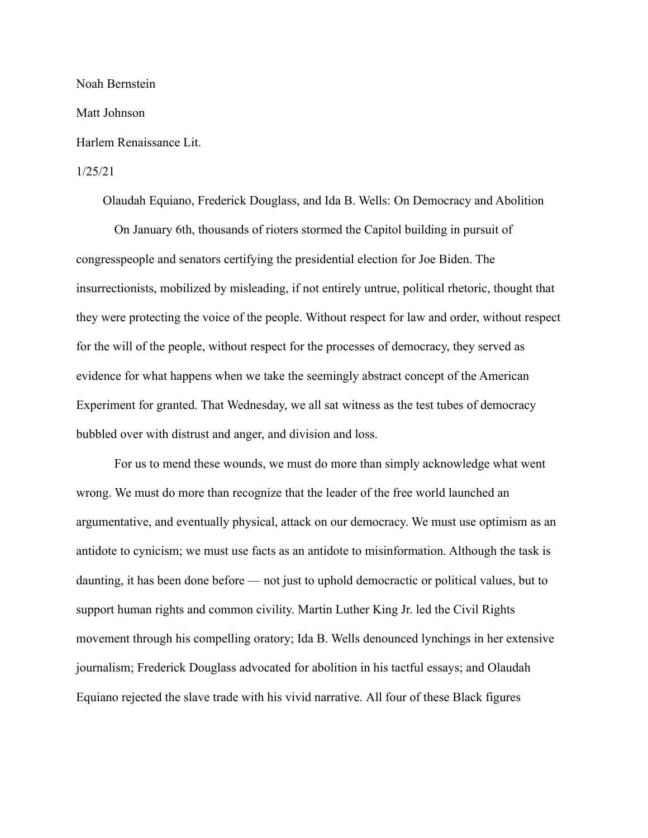Noah Bernstein

Matt Johnson

Harlem Renaissance Lit.

## 1/25/21

Olaudah Equiano, Frederick Douglass, and Ida B. Wells: On Democrac\ and Abolition

On January 6th, thousands of rioters stormed the Capitol building in pursuit of congresspeople and senators certifying the presidential election for Joe Biden. The insurrectionists, mobilized by misleading, if not entirely untrue, political rhetoric, thought that they were protecting the voice of the people. Without respect for law and order, without respect for the will of the people, without respect for the processes of democracy, they served as evidence for what happens when we take the seemingly abstract concept of the American Experiment for granted. That Wednesday, we all sat witness as the test tubes of democracy bubbled over with distrust and anger, and division and loss.

For us to mend these wounds, we must do more than simply acknowledge what went wrong. We must do more than recognize that the leader of the free world launched an argumentative, and eventually physical, attack on our democracy. We must use optimism as an antidote to cynicism; we must use facts as an antidote to misinformation. Although the task is daunting, it has been done before  $\frac{1}{10}$  not just to uphold democractic or political values, but to support human rights and common civility. Martin Luther King Jr. led the Civil Rights movement through his compelling oratory; Ida B. Wells denounced lynchings in her extensive journalism; Frederick Douglass advocated for abolition in his tactful essays; and Olaudah Equiano rejected the slave trade with his vivid narrative. All four of these Black figures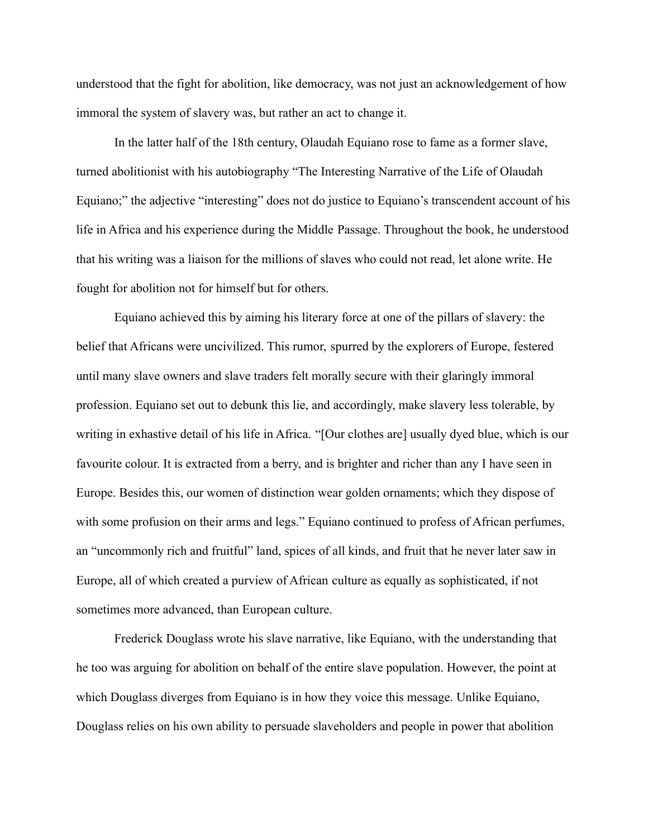understood that the fight for abolition, like democracy, was not just an acknowledgement of how immoral the system of slavery was, but rather an act to change it.

In the latter half of the 18th century, Olaudah Equiano rose to fame as a former slave, turned abolitionist with his autobiography "The Interesting Narrative of the Life of Olaudah Equiano;" the adjective "interesting" does not do justice to Equiano's transcendent account of his life in Africa and his experience during the Middle Passage. Throughout the book, he understood that his writing was a liaison for the millions of slaves who could not read, let alone write. He fought for abolition not for himself but for others.

Equiano achieved this by aiming his literary force at one of the pillars of slavery: the belief that Africans were uncivilized. This rumor, spurred by the explorers of Europe, festered until many slave owners and slave traders felt morally secure with their glaringly immoral profession. Equiano set out to debunk this lie, and accordingly, make slavery less tolerable, by writing in exhastive detail of his life in Africa. "[Our clothes are] usually dyed blue, which is our favourite colour. It is extracted from a berry, and is brighter and richer than any I have seen in Europe. Besides this, our women of distinction wear golden ornaments; which they dispose of with some profusion on their arms and legs." Equiano continued to profess of African perfumes, an "uncommonly rich and fruitful" land, spices of all kinds, and fruit that he never later saw in Europe, all of which created a purview of African culture as equally as sophisticated, if not sometimes more advanced, than European culture.

Frederick Douglass wrote his slave narrative, like Equiano, with the understanding that he too was arguing for abolition on behalf of the entire slave population. However, the point at which Douglass diverges from Equiano is in how they voice this message. Unlike Equiano, Douglass relies on his own ability to persuade slaveholders and people in power that abolition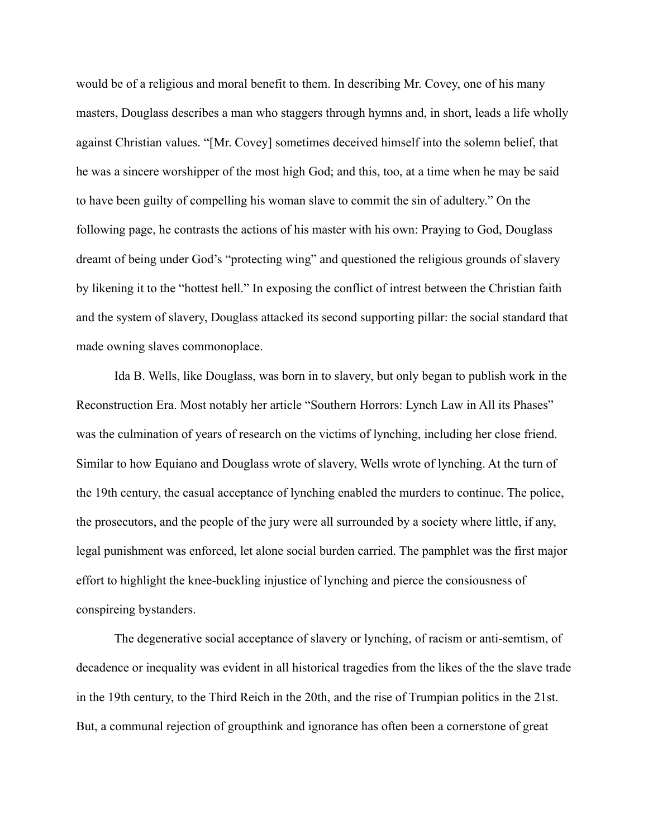would be of a religious and moral benefit to them. In describing Mr. Covey, one of his many masters, Douglass describes a man who staggers through hymns and, in short, leads a life wholly against Christian values. "[Mr. Covey] sometimes deceived himself into the solemn belief, that he was a sincere worshipper of the most high God; and this, too, at a time when he may be said to have been guilty of compelling his woman slave to commit the sin of adultery.<sup>"</sup> On the following page, he contrasts the actions of his master with his own: Praying to God, Douglass dreamt of being under God's "protecting wing" and questioned the religious grounds of slavery by likening it to the "hottest hell." In exposing the conflict of intrest between the Christian faith and the system of slavery, Douglass attacked its second supporting pillar: the social standard that made owning slaves commonoplace.

Ida B. Wells, like Douglass, was born in to slaver\, but onl\ began to publish work in the Reconstruction Era. Most notably her article "Southern Horrors: Lynch Law in All its Phases" was the culmination of years of research on the victims of lynching, including her close friend. Similar to how Equiano and Douglass wrote of slavery, Wells wrote of lynching. At the turn of the 19th century, the casual acceptance of lynching enabled the murders to continue. The police, the prosecutors, and the people of the jury were all surrounded by a society where little, if any, legal punishment was enforced, let alone social burden carried. The pamphlet was the first major effort to highlight the knee-buckling injustice of lynching and pierce the consiousness of conspireing bystanders.

The degenerative social acceptance of slavery or lynching, of racism or anti-semtism, of decadence or inequality was evident in all historical tragedies from the likes of the the slave trade in the 19th century, to the Third Reich in the 20th, and the rise of Trumpian politics in the  $21st$ . But, a communal rejection of groupthink and ignorance has often been a cornerstone of great